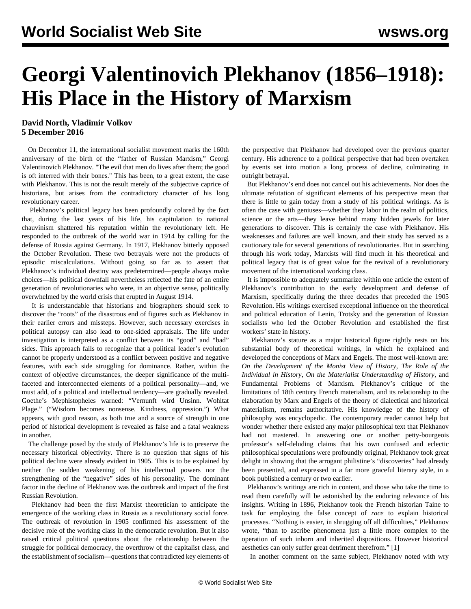# **Georgi Valentinovich Plekhanov (1856–1918): His Place in the History of Marxism**

### **David North, Vladimir Volkov 5 December 2016**

 On December 11, the international socialist movement marks the 160th anniversary of the birth of the "father of Russian Marxism," Georgi Valentinovich Plekhanov. "The evil that men do lives after them; the good is oft interred with their bones." This has been, to a great extent, the case with Plekhanov. This is not the result merely of the subjective caprice of historians, but arises from the contradictory character of his long revolutionary career.

 Plekhanov's political legacy has been profoundly colored by the fact that, during the last years of his life, his capitulation to national chauvinism shattered his reputation within the revolutionary left. He responded to the outbreak of the world war in 1914 by calling for the defense of Russia against Germany. In 1917, Plekhanov bitterly opposed the October Revolution. These two betrayals were not the products of episodic miscalculations. Without going so far as to assert that Plekhanov's individual destiny was predetermined—people always make choices—his political downfall nevertheless reflected the fate of an entire generation of revolutionaries who were, in an objective sense, politically overwhelmed by the world crisis that erupted in August 1914.

 It is understandable that historians and biographers should seek to discover the "roots" of the disastrous end of figures such as Plekhanov in their earlier errors and missteps. However, such necessary exercises in political autopsy can also lead to one-sided appraisals. The life under investigation is interpreted as a conflict between its "good" and "bad" sides. This approach fails to recognize that a political leader's evolution cannot be properly understood as a conflict between positive and negative features, with each side struggling for dominance. Rather, within the context of objective circumstances, the deeper significance of the multifaceted and interconnected elements of a political personality—and, we must add, of a political and intellectual tendency—are gradually revealed. Goethe's Mephistopheles warned: "Vernunft wird Unsinn. Wohltat Plage." ("Wisdom becomes nonsense. Kindness, oppression.") What appears, with good reason, as both true and a source of strength in one period of historical development is revealed as false and a fatal weakness in another.

 The challenge posed by the study of Plekhanov's life is to preserve the necessary historical objectivity. There is no question that signs of his political decline were already evident in 1905. This is to be explained by neither the sudden weakening of his intellectual powers nor the strengthening of the "negative" sides of his personality. The dominant factor in the decline of Plekhanov was the outbreak and impact of the first Russian Revolution.

 Plekhanov had been the first Marxist theoretician to anticipate the emergence of the working class in Russia as a revolutionary social force. The outbreak of revolution in 1905 confirmed his assessment of the decisive role of the working class in the democratic revolution. But it also raised critical political questions about the relationship between the struggle for political democracy, the overthrow of the capitalist class, and the establishment of socialism—questions that contradicted key elements of the perspective that Plekhanov had developed over the previous quarter century. His adherence to a political perspective that had been overtaken by events set into motion a long process of decline, culminating in outright betrayal.

 But Plekhanov's end does not cancel out his achievements. Nor does the ultimate refutation of significant elements of his perspective mean that there is little to gain today from a study of his political writings. As is often the case with geniuses—whether they labor in the realm of politics, science or the arts—they leave behind many hidden jewels for later generations to discover. This is certainly the case with Plekhanov. His weaknesses and failures are well known, and their study has served as a cautionary tale for several generations of revolutionaries. But in searching through his work today, Marxists will find much in his theoretical and political legacy that is of great value for the revival of a revolutionary movement of the international working class.

 It is impossible to adequately summarize within one article the extent of Plekhanov's contribution to the early development and defense of Marxism, specifically during the three decades that preceded the 1905 Revolution. His writings exercised exceptional influence on the theoretical and political education of Lenin, Trotsky and the generation of Russian socialists who led the October Revolution and established the first workers' state in history.

 Plekhanov's stature as a major historical figure rightly rests on his substantial body of theoretical writings, in which he explained and developed the conceptions of Marx and Engels. The most well-known are: *[On the Development of the Monist View of History](http://mehring.com/fundamental-problems-of-marxism.html)*[,](http://mehring.com/fundamental-problems-of-marxism.html) *[The Role of the](http://mehring.com/fundamental-problems-of-marxism.html) [Individual in History](http://mehring.com/fundamental-problems-of-marxism.html)*[,](http://mehring.com/fundamental-problems-of-marxism.html) *[On the Materialist Understanding of History](http://mehring.com/fundamental-problems-of-marxism.html)*[, and](http://mehring.com/fundamental-problems-of-marxism.html) [Fundamental Problems of Marxism](http://mehring.com/fundamental-problems-of-marxism.html)*.* Plekhanov's critique of the limitations of 18th century French materialism, and its relationship to the elaboration by Marx and Engels of the theory of dialectical and historical materialism, remains authoritative. His knowledge of the history of philosophy was encyclopedic. The contemporary reader cannot help but wonder whether there existed any major philosophical text that Plekhanov had not mastered. In answering one or another petty-bourgeois professor's self-deluding claims that his own confused and eclectic philosophical speculations were profoundly original, Plekhanov took great delight in showing that the arrogant philistine's "discoveries" had already been presented, and expressed in a far more graceful literary style, in a book published a century or two earlier.

 Plekhanov's writings are rich in content, and those who take the time to read them carefully will be astonished by the enduring relevance of his insights. Writing in 1896, Plekhanov took the French historian Taine to task for employing the false concept of *race* to explain historical processes. "Nothing is easier, in shrugging off all difficulties," Plekhanov wrote, "than to ascribe phenomena just a little more complex to the operation of such inborn and inherited dispositions. However historical aesthetics can only suffer great detriment therefrom." [1]

In another comment on the same subject, Plekhanov noted with wry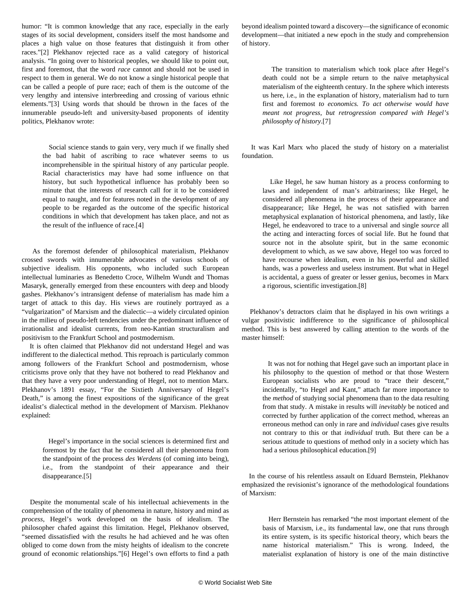humor: "It is common knowledge that any race, especially in the early stages of its social development, considers itself the most handsome and places a high value on those features that distinguish it from other races."[2] Plekhanov rejected race as a valid category of historical analysis. "In going over to historical peoples, we should like to point out, first and foremost, that the word *race* cannot and should not be used in respect to them in general. We do not know a single historical people that can be called a people of pure race; each of them is the outcome of the very lengthy and intensive interbreeding and crossing of various ethnic elements."[3] Using words that should be thrown in the faces of the innumerable pseudo-left and university-based proponents of identity politics, Plekhanov wrote:

 Social science stands to gain very, very much if we finally shed the bad habit of ascribing to race whatever seems to us incomprehensible in the spiritual history of any particular people. Racial characteristics may have had some influence on that history, but such hypothetical influence has probably been so minute that the interests of research call for it to be considered equal to naught, and for features noted in the development of any people to be regarded as the outcome of the specific historical conditions in which that development has taken place, and not as the result of the influence of race.[4]

 As the foremost defender of philosophical materialism, Plekhanov crossed swords with innumerable advocates of various schools of subjective idealism. His opponents, who included such European intellectual luminaries as Benedetto Croce, Wilhelm Wundt and Thomas Masaryk, generally emerged from these encounters with deep and bloody gashes. Plekhanov's intransigent defense of materialism has made him a target of attack to this day. His views are routinely portrayed as a "vulgarization" of Marxism and the dialectic—a widely circulated opinion in the milieu of pseudo-left tendencies under the predominant influence of irrationalist and idealist currents, from neo-Kantian structuralism and positivism to the Frankfurt School and postmodernism.

 It is often claimed that Plekhanov did not understand Hegel and was indifferent to the dialectical method. This reproach is particularly common among followers of the Frankfurt School and postmodernism, whose criticisms prove only that they have not bothered to read Plekhanov and that they have a very poor understanding of Hegel, not to mention Marx. Plekhanov's 1891 essay, "For the Sixtieth Anniversary of Hegel's Death," is among the finest expositions of the significance of the great idealist's dialectical method in the development of Marxism. Plekhanov explained:

 Hegel's importance in the social sciences is determined first and foremost by the fact that he considered all their phenomena from the standpoint of the process *des Werdens* (of coming into being), i.e., from the standpoint of their appearance and their disappearance.[5]

 Despite the monumental scale of his intellectual achievements in the comprehension of the totality of phenomena in nature, history and mind as *process*, Hegel's work developed on the basis of idealism. The philosopher chafed against this limitation. Hegel, Plekhanov observed, "seemed dissatisfied with the results he had achieved and he was often obliged to come down from the misty heights of idealism to the concrete ground of economic relationships."[6] Hegel's own efforts to find a path beyond idealism pointed toward a discovery—the significance of economic development—that initiated a new epoch in the study and comprehension of history.

 The transition to materialism which took place after Hegel's death could not be a simple return to the naïve metaphysical materialism of the eighteenth century. In the sphere which interests us here, i.e., in the explanation of history, materialism had to turn first and foremost *to economics. To act otherwise would have meant not progress, but retrogression compared with Hegel's philosophy of history*.[7]

 It was Karl Marx who placed the study of history on a materialist foundation.

 Like Hegel, he saw human history as a process conforming to laws and independent of man's arbitrariness; like Hegel, he considered all phenomena in the process of their appearance and disappearance; like Hegel, he was not satisfied with barren metaphysical explanation of historical phenomena, and lastly, like Hegel, he endeavored to trace to a universal and single *source* all the acting and interacting forces of social life. But he found that source not in the absolute spirit, but in the same economic development to which, as we saw above, Hegel too was forced to have recourse when idealism, even in his powerful and skilled hands, was a powerless and useless instrument. But what in Hegel is accidental, a guess of greater or lesser genius, becomes in Marx a rigorous, scientific investigation.[8]

 Plekhanov's detractors claim that he displayed in his own writings a vulgar positivistic indifference to the significance of philosophical method. This is best answered by calling attention to the words of the master himself:

 It was not for nothing that Hegel gave such an important place in his philosophy to the question of method or that those Western European socialists who are proud to "trace their descent," incidentally, "to Hegel and Kant," attach far more importance to the *method* of studying social phenomena than to the data resulting from that study. A mistake in results will *inevitably* be noticed and corrected by further application of the correct method, whereas an erroneous method can only in rare and *individual* cases give results not contrary to this or that *individual* truth. But there can be a serious attitude to questions of method only in a society which has had a serious philosophical education.[9]

 In the course of his relentless assault on Eduard Bernstein, Plekhanov emphasized the revisionist's ignorance of the methodological foundations of Marxism:

 Herr Bernstein has remarked "the most important element of the basis of Marxism, i.e., its fundamental law, one that runs through its entire system, is its specific historical theory, which bears the name historical materialism." This is wrong. Indeed, the materialist explanation of history is one of the main distinctive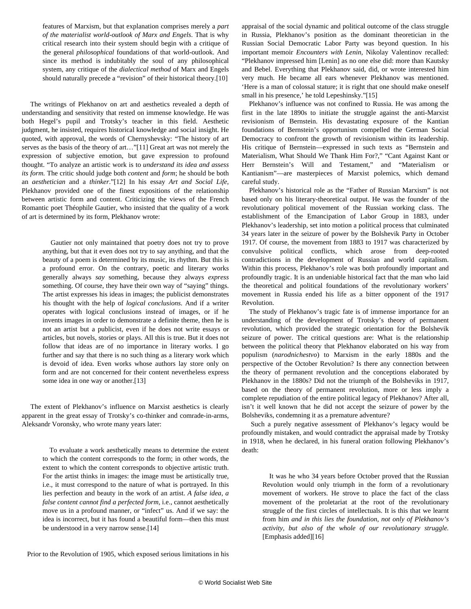features of Marxism, but that explanation comprises merely a *part of the materialist world-outlook of Marx and Engels*. That is why critical research into their system should begin with a critique of the general *philosophical* foundations of that world-outlook. And since its method is indubitably the soul of any philosophical system, any critique of the *dialectical method* of Marx and Engels should naturally precede a "revision" of their historical theory.[10]

 The writings of Plekhanov on art and aesthetics revealed a depth of understanding and sensitivity that rested on immense knowledge. He was both Hegel's pupil and Trotsky's teacher in this field. Aesthetic judgment, he insisted, requires historical knowledge and social insight. He quoted, with approval, the words of Chernyshevsky: "The history of art serves as the basis of the theory of art…"[11] Great art was not merely the expression of subjective emotion, but gave expression to profound thought. "To analyze an artistic work is to *understand its idea and assess its form.* The critic should judge both *content* and *form*; he should be both an *aesthetician* and a *thinker*."[12] In his essay *Art and Social Life*, Plekhanov provided one of the finest expositions of the relationship between artistic form and content. Criticizing the views of the French Romantic poet Théophile Gautier, who insisted that the quality of a work of art is determined by its form, Plekhanov wrote:

> Gautier not only maintained that poetry does not try to prove anything, but that it even does not try to say anything, and that the beauty of a poem is determined by its music, its rhythm. But this is a profound error. On the contrary, poetic and literary works generally always *say* something, because they always *express* something. Of course, they have their own way of "saying" things. The artist expresses his ideas in images; the publicist demonstrates his thought with the help of *logical conclusions*. And if a writer operates with logical conclusions instead of images, or if he invents images in order to demonstrate a definite theme, then he is not an artist but a publicist, even if he does not write essays or articles, but novels, stories or plays. All this is true. But it does not follow that ideas are of no importance in literary works. I go further and say that there is no such thing as a literary work which is devoid of idea. Even works whose authors lay store only on form and are not concerned for their content nevertheless express some idea in one way or another.[13]

 The extent of Plekhanov's influence on Marxist aesthetics is clearly apparent in the great essay of Trotsky's co-thinker and comrade-in-arms, Aleksandr Voronsky, who wrote many years later:

> To evaluate a work aesthetically means to determine the extent to which the content corresponds to the form; in other words, the extent to which the content corresponds to objective artistic truth. For the artist thinks in images: the image must be artistically true, i.e., it must correspond to the nature of what is portrayed. In this lies perfection and beauty in the work of an artist. *A false idea, a false content cannot find a perfected form,* i.e., cannot aesthetically move us in a profound manner, or "infect" us. And if we say: the idea is incorrect, but it has found a beautiful form—then this must be understood in a very narrow sense.[14]

appraisal of the social dynamic and political outcome of the class struggle in Russia, Plekhanov's position as the dominant theoretician in the Russian Social Democratic Labor Party was beyond question. In his important memoir *Encounters with Lenin*, Nikolay Valentinov recalled: "Plekhanov impressed him [Lenin] as no one else did: more than Kautsky and Bebel. Everything that Plekhanov said, did, or wrote interested him very much. He became all ears whenever Plekhanov was mentioned. 'Here is a man of colossal stature; it is right that one should make oneself small in his presence,' he told Lepeshinsky."[15]

 Plekhanov's influence was not confined to Russia. He was among the first in the late 1890s to initiate the struggle against the anti-Marxist revisionism of Bernstein. His devastating exposure of the Kantian foundations of Bernstein's opportunism compelled the German Social Democracy to confront the growth of revisionism within its leadership. His critique of Bernstein—expressed in such texts as "Bernstein and Materialism, What Should We Thank Him For?," "Cant Against Kant or Herr Bernstein's Will and Testament," and "Materialism or Kantianism"—are masterpieces of Marxist polemics, which demand careful study.

 Plekhanov's historical role as the "Father of Russian Marxism" is not based only on his literary-theoretical output. He was the founder of the revolutionary political movement of the Russian working class. The establishment of the Emancipation of Labor Group in 1883, under Plekhanov's leadership, set into motion a political process that culminated 34 years later in the seizure of power by the Bolshevik Party in October 1917. Of course, the movement from 1883 to 1917 was characterized by convulsive political conflicts, which arose from deep-rooted contradictions in the development of Russian and world capitalism. Within this process, Plekhanov's role was both profoundly important and profoundly tragic. It is an undeniable historical fact that the man who laid the theoretical and political foundations of the revolutionary workers' movement in Russia ended his life as a bitter opponent of the 1917 Revolution.

 The study of Plekhanov's tragic fate is of immense importance for an understanding of the development of Trotsky's theory of permanent revolution, which provided the strategic orientation for the Bolshevik seizure of power. The critical questions are: What is the relationship between the political theory that Plekhanov elaborated on his way from populism (*narodnichestvo*) to Marxism in the early 1880s and the perspective of the October Revolution? Is there any connection between the theory of permanent revolution and the conceptions elaborated by Plekhanov in the 1880s? Did not the triumph of the Bolsheviks in 1917, based on the theory of permanent revolution, more or less imply a complete repudiation of the entire political legacy of Plekhanov? After all, isn't it well known that he did not accept the seizure of power by the Bolsheviks, condemning it as a premature adventure?

 Such a purely negative assessment of Plekhanov's legacy would be profoundly mistaken, and would contradict the appraisal made by Trotsky in 1918, when he declared, in his funeral oration following Plekhanov's death:

 It was he who 34 years before October proved that the Russian Revolution would only triumph in the form of a revolutionary movement of workers. He strove to place the fact of the class movement of the proletariat at the root of the revolutionary struggle of the first circles of intellectuals. It is this that we learnt from him *and in this lies the foundation, not only of Plekhanov's activity, but also of the whole of our revolutionary struggle.* [Emphasis added][16]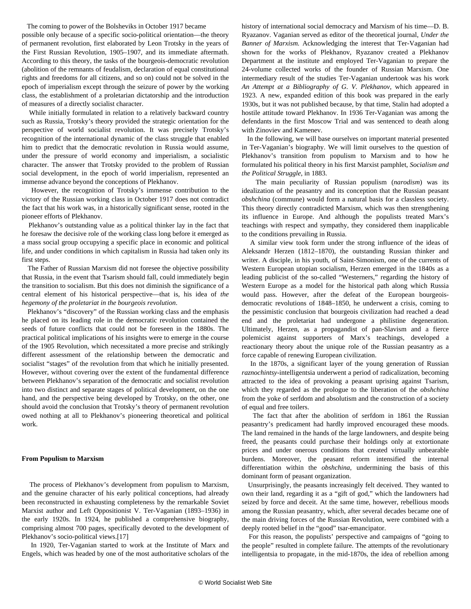The coming to power of the Bolsheviks in October 1917 became

possible only because of a specific socio-political orientation—the theory of permanent revolution, first elaborated by Leon Trotsky in the years of the First Russian Revolution, 1905–1907, and its immediate aftermath. According to this theory, the tasks of the bourgeois-democratic revolution (abolition of the remnants of feudalism, declaration of equal constitutional rights and freedoms for all citizens, and so on) could not be solved in the epoch of imperialism except through the seizure of power by the working class, the establishment of a proletarian dictatorship and the introduction of measures of a directly socialist character.

 While initially formulated in relation to a relatively backward country such as Russia, Trotsky's theory provided the strategic orientation for the perspective of world socialist revolution. It was precisely Trotsky's recognition of the international dynamic of the class struggle that enabled him to predict that the democratic revolution in Russia would assume, under the pressure of world economy and imperialism, a socialistic character. The answer that Trotsky provided to the problem of Russian social development, in the epoch of world imperialism, represented an immense advance beyond the conceptions of Plekhanov.

 However, the recognition of Trotsky's immense contribution to the victory of the Russian working class in October 1917 does not contradict the fact that his work was, in a historically significant sense, rooted in the pioneer efforts of Plekhanov.

 Plekhanov's outstanding value as a political thinker lay in the fact that he foresaw the decisive role of the working class long before it emerged as a mass social group occupying a specific place in economic and political life, and under conditions in which capitalism in Russia had taken only its first steps.

 The Father of Russian Marxism did not foresee the objective possibility that Russia, in the event that Tsarism should fall, could immediately begin the transition to socialism. But this does not diminish the significance of a central element of his historical perspective—that is, his idea of *the hegemony of the proletariat in the bourgeois revolution*.

 Plekhanov's "discovery" of the Russian working class and the emphasis he placed on its leading role in the democratic revolution contained the seeds of future conflicts that could not be foreseen in the 1880s. The practical political implications of his insights were to emerge in the course of the 1905 Revolution, which necessitated a more precise and strikingly different assessment of the relationship between the democratic and socialist "stages" of the revolution from that which he initially presented. However, without covering over the extent of the fundamental difference between Plekhanov's separation of the democratic and socialist revolution into two distinct and separate stages of political development, on the one hand, and the perspective being developed by Trotsky, on the other, one should avoid the conclusion that Trotsky's theory of permanent revolution owed nothing at all to Plekhanov's pioneering theoretical and political work.

#### **From Populism to Marxism**

 The process of Plekhanov's development from populism to Marxism, and the genuine character of his early political conceptions, had already been reconstructed in exhausting completeness by the remarkable Soviet Marxist author and Left Oppositionist V. Ter-Vaganian (1893–1936) in the early 1920s. In 1924, he published a comprehensive biography, comprising almost 700 pages, specifically devoted to the development of Plekhanov's socio-political views.[17]

 In 1920, Ter-Vaganian started to work at the Institute of Marx and Engels, which was headed by one of the most authoritative scholars of the history of international social democracy and Marxism of his time—D. B. Ryazanov. Vaganian served as editor of the theoretical journal, *Under the Banner of Marxism.* Acknowledging the interest that Ter-Vaganian had shown for the works of Plekhanov, Ryazanov created a Plekhanov Department at the institute and employed Ter-Vaganian to prepare the 24-volume collected works of the founder of Russian Marxism. One intermediary result of the studies Ter-Vaganian undertook was his work *An Attempt at a Bibliography of G. V. Plekhanov*, which appeared in 1923. A new, expanded edition of this book was prepared in the early 1930s, but it was not published because, by that time, Stalin had adopted a hostile attitude toward Plekhanov. In 1936 Ter-Vaganian was among the defendants in the first Moscow Trial and was sentenced to death along with Zinoviev and Kamenev.

 In the following, we will base ourselves on important material presented in Ter-Vaganian's biography. We will limit ourselves to the question of Plekhanov's transition from populism to Marxism and to how he formulated his political theory in his first Marxist pamphlet, *Socialism and the Political Struggle*, in 1883.

 The main peculiarity of Russian populism (*narodism*) was its idealization of the peasantry and its conception that the Russian peasant *obshchina* (commune) would form a natural basis for a classless society. This theory directly contradicted Marxism, which was then strengthening its influence in Europe. And although the populists treated Marx's teachings with respect and sympathy, they considered them inapplicable to the conditions prevailing in Russia.

 A similar view took form under the strong influence of the ideas of Aleksandr Herzen (1812–1870), the outstanding Russian thinker and writer. A disciple, in his youth, of Saint-Simonism, one of the currents of Western European utopian socialism, Herzen emerged in the 1840s as a leading publicist of the so-called "Westerners," regarding the history of Western Europe as a model for the historical path along which Russia would pass. However, after the defeat of the European bourgeoisdemocratic revolutions of 1848–1850, he underwent a crisis, coming to the pessimistic conclusion that bourgeois civilization had reached a dead end and the proletariat had undergone a philistine degeneration. Ultimately, Herzen, as a propagandist of pan-Slavism and a fierce polemicist against supporters of Marx's teachings, developed a reactionary theory about the unique role of the Russian peasantry as a force capable of renewing European civilization.

 In the 1870s, a significant layer of the young generation of Russian *raznochintsy*-intelligentsia underwent a period of radicalization, becoming attracted to the idea of provoking a peasant uprising against Tsarism, which they regarded as the prologue to the liberation of the *obshchina* from the yoke of serfdom and absolutism and the construction of a society of equal and free toilers.

 The fact that after the abolition of serfdom in 1861 the Russian peasantry's predicament had hardly improved encouraged these moods. The land remained in the hands of the large landowners, and despite being freed, the peasants could purchase their holdings only at extortionate prices and under onerous conditions that created virtually unbearable burdens. Moreover, the peasant reform intensified the internal differentiation within the *obshchina*, undermining the basis of this dominant form of peasant organization.

 Unsurprisingly, the peasants increasingly felt deceived. They wanted to own their land, regarding it as a "gift of god," which the landowners had seized by force and deceit. At the same time, however, rebellious moods among the Russian peasantry, which, after several decades became one of the main driving forces of the Russian Revolution, were combined with a deeply rooted belief in the "good" tsar-emancipator.

 For this reason, the populists' perspective and campaigns of "going to the people" resulted in complete failure. The attempts of the revolutionary intelligentsia to propagate, in the mid-1870s, the idea of rebellion among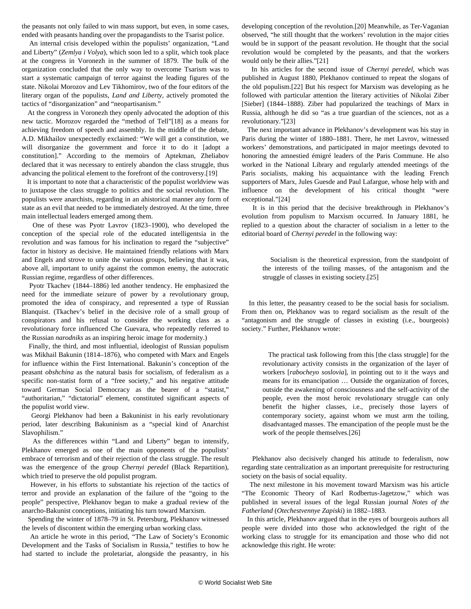the peasants not only failed to win mass support, but even, in some cases, ended with peasants handing over the propagandists to the Tsarist police.

 An internal crisis developed within the populists' organization, "Land and Liberty" (*Zemlya i Volya*), which soon led to a split, which took place at the congress in Voronezh in the summer of 1879. The bulk of the organization concluded that the only way to overcome Tsarism was to start a systematic campaign of terror against the leading figures of the state. Nikolai Morozov and Lev Tikhomirov, two of the four editors of the literary organ of the populists, *Land and Liberty,* actively promoted the tactics of "disorganization" and "neopartisanism."

 At the congress in Voronezh they openly advocated the adoption of this new tactic. Morozov regarded the "method of Tell"[18] as a means for achieving freedom of speech and assembly. In the middle of the debate, A.D. Mikhailov unexpectedly exclaimed: "We will get a constitution, we will disorganize the government and force it to do it [adopt a constitution]." According to the memoirs of Aptekman, Zheliabov declared that it was necessary to entirely abandon the class struggle, thus advancing the political element to the forefront of the controversy.[19]

 It is important to note that a characteristic of the populist worldview was to juxtapose the class struggle to politics and the social revolution. The populists were anarchists, regarding in an ahistorical manner any form of state as an evil that needed to be immediately destroyed. At the time, three main intellectual leaders emerged among them.

 One of these was Pyotr Lavrov (1823–1900), who developed the conception of the special role of the educated intelligentsia in the revolution and was famous for his inclination to regard the "subjective" factor in history as decisive. He maintained friendly relations with Marx and Engels and strove to unite the various groups, believing that it was, above all, important to unify against the common enemy, the autocratic Russian regime, regardless of other differences.

 Pyotr Tkachev (1844–1886) led another tendency. He emphasized the need for the immediate seizure of power by a revolutionary group, promoted the idea of conspiracy, and represented a type of Russian Blanquist. (Tkachev's belief in the decisive role of a small group of conspirators and his refusal to consider the working class as a revolutionary force influenced Che Guevara, who repeatedly referred to the Russian *narodniks* as an inspiring heroic image for modernity.)

 Finally, the third, and most influential, ideologist of Russian populism was Mikhail Bakunin (1814–1876), who competed with Marx and Engels for influence within the First International. Bakunin's conception of the peasant *obshchina* as the natural basis for socialism, of federalism as a specific non-statist form of a "free society," and his negative attitude toward German Social Democracy as the bearer of a "statist," "authoritarian," "dictatorial" element, constituted significant aspects of the populist world view.

 Georgi Plekhanov had been a Bakuninist in his early revolutionary period, later describing Bakuninism as a "special kind of Anarchist Slavophilism."

 As the differences within "Land and Liberty" began to intensify, Plekhanov emerged as one of the main opponents of the populists' embrace of terrorism and of their rejection of the class struggle. The result was the emergence of the group *Chernyi peredel* (Black Repartition), which tried to preserve the old populist program.

 However, in his efforts to substantiate his rejection of the tactics of terror and provide an explanation of the failure of the "going to the people" perspective, Plekhanov began to make a gradual review of the anarcho-Bakunist conceptions, initiating his turn toward Marxism.

 Spending the winter of 1878–79 in St. Petersburg, Plekhanov witnessed the levels of discontent within the emerging urban working class.

 An article he wrote in this period, "The Law of Society's Economic Development and the Tasks of Socialism in Russia," testifies to how he had started to include the proletariat, alongside the peasantry, in his

developing conception of the revolution.[20] Meanwhile, as Ter-Vaganian observed, "he still thought that the workers' revolution in the major cities would be in support of the peasant revolution. He thought that the social revolution would be completed by the peasants, and that the workers would only be their allies."[21]

 In his articles for the second issue of *Chernyi peredel*, which was published in August 1880, Plekhanov continued to repeat the slogans of the old populism.[22] But his respect for Marxism was developing as he followed with particular attention the literary activities of Nikolai Ziber [Sieber] (1844–1888). Ziber had popularized the teachings of Marx in Russia, although he did so "as a true guardian of the sciences, not as a revolutionary."[23]

 The next important advance in Plekhanov's development was his stay in Paris during the winter of 1880–1881. There, he met Lavrov, witnessed workers' demonstrations, and participated in major meetings devoted to honoring the amnestied émigré leaders of the Paris Commune. He also worked in the National Library and regularly attended meetings of the Paris socialists, making his acquaintance with the leading French supporters of Marx, Jules Guesde and Paul Lafargue, whose help with and influence on the development of his critical thought "were exceptional."[24]

 It is in this period that the decisive breakthrough in Plekhanov's evolution from populism to Marxism occurred. In January 1881, he replied to a question about the character of socialism in a letter to the editorial board of *Chernyi peredel* in the following way:

 Socialism is the theoretical expression, from the standpoint of the interests of the toiling masses, of the antagonism and the struggle of classes in existing society.[25]

 In this letter, the peasantry ceased to be the social basis for socialism. From then on, Plekhanov was to regard socialism as the result of the "antagonism and the struggle of classes in existing (i.e., bourgeois) society." Further, Plekhanov wrote:

 The practical task following from this [the class struggle] for the revolutionary activity consists in the organization of the layer of workers [*rabocheyo soslovia*], in pointing out to it the ways and means for its emancipation … Outside the organization of forces, outside the awakening of consciousness and the self-activity of the people, even the most heroic revolutionary struggle can only benefit the higher classes, i.e., precisely those layers of contemporary society, against whom we must arm the toiling, disadvantaged masses. The emancipation of the people must be the work of the people themselves.[26]

 Plekhanov also decisively changed his attitude to federalism, now regarding state centralization as an important prerequisite for restructuring society on the basis of social equality.

 The next milestone in his movement toward Marxism was his article "The Economic Theory of Karl Rodbertus-Jagetzow," which was published in several issues of the legal Russian journal *Notes of the Fatherland* (*Otechestvennye Zapiski*) in 1882–1883.

 In this article, Plekhanov argued that in the eyes of bourgeois authors all people were divided into those who acknowledged the right of the working class to struggle for its emancipation and those who did not acknowledge this right. He wrote: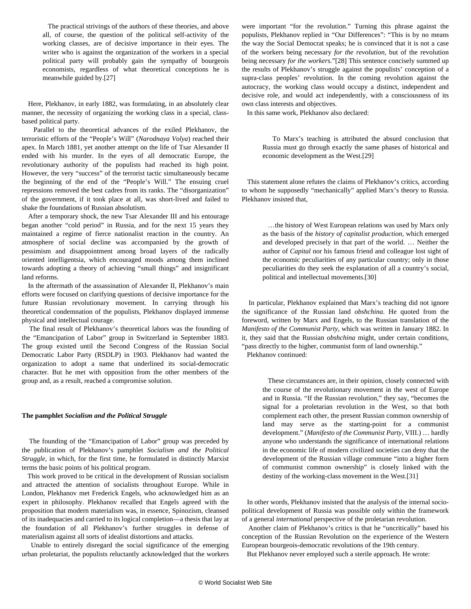The practical strivings of the authors of these theories, and above all, of course, the question of the political self-activity of the working classes, are of decisive importance in their eyes. The writer who is against the organization of the workers in a special political party will probably gain the sympathy of bourgeois economists, regardless of what theoretical conceptions he is meanwhile guided by.[27]

 Here, Plekhanov, in early 1882, was formulating, in an absolutely clear manner, the necessity of organizing the working class in a special, classbased political party.

 Parallel to the theoretical advances of the exiled Plekhanov, the terroristic efforts of the "People's Will" (*Narodnaya Volya*) reached their apex. In March 1881, yet another attempt on the life of Tsar Alexander II ended with his murder. In the eyes of all democratic Europe, the revolutionary authority of the populists had reached its high point. However, the very "success" of the terrorist tactic simultaneously became the beginning of the end of the "People's Will." The ensuing cruel repressions removed the best cadres from its ranks. The "disorganization" of the government, if it took place at all, was short-lived and failed to shake the foundations of Russian absolutism.

 After a temporary shock, the new Tsar Alexander III and his entourage began another "cold period" in Russia, and for the next 15 years they maintained a regime of fierce nationalist reaction in the country. An atmosphere of social decline was accompanied by the growth of pessimism and disappointment among broad layers of the radically oriented intelligentsia, which encouraged moods among them inclined towards adopting a theory of achieving "small things" and insignificant land reforms.

 In the aftermath of the assassination of Alexander II, Plekhanov's main efforts were focused on clarifying questions of decisive importance for the future Russian revolutionary movement. In carrying through his theoretical condemnation of the populists, Plekhanov displayed immense physical and intellectual courage.

 The final result of Plekhanov's theoretical labors was the founding of the "Emancipation of Labor" group in Switzerland in September 1883. The group existed until the Second Congress of the Russian Social Democratic Labor Party (RSDLP) in 1903. Plekhanov had wanted the organization to adopt a name that underlined its social-democratic character. But he met with opposition from the other members of the group and, as a result, reached a compromise solution.

#### **The pamphlet** *Socialism and the Political Struggle*

 The founding of the "Emancipation of Labor" group was preceded by the publication of Plekhanov's pamphlet *Socialism and the Political Struggle*, in which, for the first time, he formulated in distinctly Marxist terms the basic points of his political program.

 This work proved to be critical in the development of Russian socialism and attracted the attention of socialists throughout Europe. While in London, Plekhanov met Frederick Engels, who acknowledged him as an expert in philosophy. Plekhanov recalled that Engels agreed with the proposition that modern materialism was, in essence, Spinozism, cleansed of its inadequacies and carried to its logical completion—a thesis that lay at the foundation of all Plekhanov's further struggles in defense of materialism against all sorts of idealist distortions and attacks.

 Unable to entirely disregard the social significance of the emerging urban proletariat, the populists reluctantly acknowledged that the workers

were important "for the revolution." Turning this phrase against the populists, Plekhanov replied in "Our Differences": "This is by no means the way the Social Democrat speaks; he is convinced that it is not a case of the workers being necessary *for the revolution,* but of the revolution being necessary *for the workers.*"[28] This sentence concisely summed up the results of Plekhanov's struggle against the populists' conception of a supra-class peoples' revolution. In the coming revolution against the autocracy, the working class would occupy a distinct, independent and decisive role, and would act independently, with a consciousness of its own class interests and objectives.

In this same work, Plekhanov also declared:

 To Marx's teaching is attributed the absurd conclusion that Russia must go through exactly the same phases of historical and economic development as the West.[29]

 This statement alone refutes the claims of Plekhanov's critics, according to whom he supposedly "mechanically" applied Marx's theory to Russia. Plekhanov insisted that,

 …the history of West European relations was used by Marx only as the basis of the *history of capitalist production*, which emerged and developed precisely in that part of the world. … Neither the author of *Capital* nor his famous friend and colleague lost sight of the economic peculiarities of any particular country; only in those peculiarities do they seek the explanation of all a country's social, political and intellectual movements.[30]

 In particular, Plekhanov explained that Marx's teaching did not ignore the significance of the Russian land *obshchina*. He quoted from the foreword, written by Marx and Engels, to the Russian translation of the *Manifesto of the Communist Party*, which was written in January 1882. In it, they said that the Russian *obshchina* might, under certain conditions, "pass directly to the higher, communist form of land ownership."

Plekhanov continued:

 These circumstances are, in their opinion, closely connected with the course of the revolutionary movement in the west of Europe and in Russia. "If the Russian revolution," they say, "becomes the signal for a proletarian revolution in the West, so that both complement each other, the present Russian common ownership of land may serve as the starting-point for a communist development." (*Manifesto of the Communist Party*, VIII.) … hardly anyone who understands the significance of international relations in the economic life of modern civilized societies can deny that the development of the Russian village commune "into a higher form of communist common ownership" is closely linked with the destiny of the working-class movement in the West.[31]

 In other words, Plekhanov insisted that the analysis of the internal sociopolitical development of Russia was possible only within the framework of a general *international* perspective of the proletarian revolution.

 Another claim of Plekhanov's critics is that he "uncritically" based his conception of the Russian Revolution on the experience of the Western European bourgeois-democratic revolutions of the 19th century.

But Plekhanov never employed such a sterile approach. He wrote: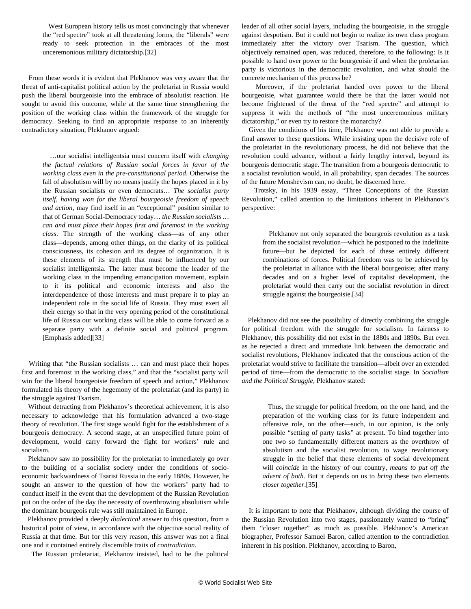West European history tells us most convincingly that whenever the "red spectre" took at all threatening forms, the "liberals" were ready to seek protection in the embraces of the most unceremonious military dictatorship.[32]

 From these words it is evident that Plekhanov was very aware that the threat of anti-capitalist political action by the proletariat in Russia would push the liberal bourgeoisie into the embrace of absolutist reaction. He sought to avoid this outcome, while at the same time strengthening the position of the working class within the framework of the struggle for democracy. Seeking to find an appropriate response to an inherently contradictory situation, Plekhanov argued:

> …our socialist intelligentsia must concern itself with *changing the factual relations of Russian social forces in favor of the working class even in the pre-constitutional period*. Otherwise the fall of absolutism will by no means justify the hopes placed in it by the Russian socialists or even democrats… *The socialist party itself, having won for the liberal bourgeoisie freedom of speech and action*, may find itself in an "exceptional" position similar to that of German Social-Democracy today… *the Russian socialists … can and must place their hopes first and foremost in the working class*. The strength of the working class—as of any other class—depends, among other things, on the clarity of its political consciousness, its cohesion and its degree of organization. It is these elements of its strength that must be influenced by our socialist intelligentsia. The latter must become the leader of the working class in the impending emancipation movement, explain to it its political and economic interests and also the interdependence of those interests and must prepare it to play an independent role in the social life of Russia. They must exert all their energy so that in the very opening period of the constitutional life of Russia our working class will be able to come forward as a separate party with a definite social and political program. [Emphasis added][33]

 Writing that "the Russian socialists … can and must place their hopes first and foremost in the working class," and that the "socialist party will win for the liberal bourgeoisie freedom of speech and action," Plekhanov formulated his theory of the hegemony of the proletariat (and its party) in the struggle against Tsarism.

 Without detracting from Plekhanov's theoretical achievement, it is also necessary to acknowledge that his formulation advanced a two-stage theory of revolution. The first stage would fight for the establishment of a bourgeois democracy. A second stage, at an unspecified future point of development, would carry forward the fight for workers' rule and socialism.

 Plekhanov saw no possibility for the proletariat to immediately go over to the building of a socialist society under the conditions of socioeconomic backwardness of Tsarist Russia in the early 1880s. However, he sought an answer to the question of how the workers' party had to conduct itself in the event that the development of the Russian Revolution put on the order of the day the necessity of overthrowing absolutism while the dominant bourgeois rule was still maintained in Europe.

 Plekhanov provided a deeply *dialectical* answer to this question, from a historical point of view, in accordance with the objective social reality of Russia at that time. But for this very reason, this answer was not a final one and it contained entirely discernible traits of *contradiction.*

The Russian proletariat, Plekhanov insisted, had to be the political

leader of all other social layers, including the bourgeoisie, in the struggle against despotism. But it could not begin to realize its own class program immediately after the victory over Tsarism. The question, which objectively remained open, was reduced, therefore, to the following: Is it possible to hand over power to the bourgeoisie if and when the proletarian party is victorious in the democratic revolution, and what should the concrete mechanism of this process be?

 Moreover, if the proletariat handed over power to the liberal bourgeoisie, what guarantee would there be that the latter would not become frightened of the threat of the "red spectre" and attempt to suppress it with the methods of "the most unceremonious military dictatorship," or even try to restore the monarchy?

 Given the conditions of his time, Plekhanov was not able to provide a final answer to these questions. While insisting upon the decisive role of the proletariat in the revolutionary process, he did not believe that the revolution could advance, without a fairly lengthy interval, beyond its bourgeois democratic stage. The transition from a bourgeois democratic to a socialist revolution would, in all probability, span decades. The sources of the future Menshevism can, no doubt, be discerned here.

 Trotsky, in his 1939 essay, "Three Conceptions of the Russian Revolution," called attention to the limitations inherent in Plekhanov's perspective:

 Plekhanov not only separated the bourgeois revolution as a task from the socialist revolution—which he postponed to the indefinite future—but he depicted for each of these entirely different combinations of forces. Political freedom was to be achieved by the proletariat in alliance with the liberal bourgeoisie; after many decades and on a higher level of capitalist development, the proletariat would then carry out the socialist revolution in direct struggle against the bourgeoisie.[34]

 Plekhanov did not see the possibility of directly combining the struggle for political freedom with the struggle for socialism. In fairness to Plekhanov, this possibility did not exist in the 1880s and 1890s. But even as he rejected a direct and immediate link between the democratic and socialist revolutions, Plekhanov indicated that the conscious action of the proletariat would strive to facilitate the transition—albeit over an extended period of time—from the democratic to the socialist stage. In *Socialism and the Political Struggle,* Plekhanov stated:

 Thus, the struggle for political freedom, on the one hand, and the preparation of the working class for its future independent and offensive role, on the other—such, in our opinion, is the only possible "setting of party tasks" at present. To bind together into one two so fundamentally different matters as the overthrow of absolutism and the socialist revolution, to wage revolutionary struggle in the belief that these elements of social development will *coincide* in the history of our country, *means to put off the advent of both*. But it depends on us to *bring* these two elements *closer together*.[35]

 It is important to note that Plekhanov, although dividing the course of the Russian Revolution into two stages, passionately wanted to "bring" them "closer together" as much as possible. Plekhanov's American biographer, Professor Samuel Baron, called attention to the contradiction inherent in his position. Plekhanov, according to Baron,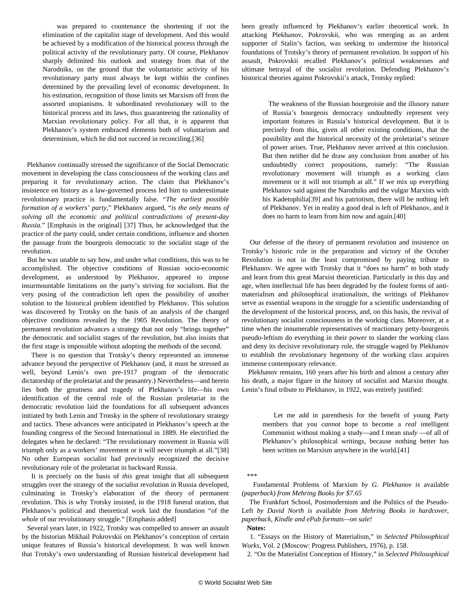was prepared to countenance the shortening if not the elimination of the capitalist stage of development. And this would be achieved by a modification of the historical process through the political activity of the revolutionary party. Of course, Plekhanov sharply delimited his outlook and strategy from that of the Narodniks, on the ground that the voluntaristic activity of his revolutionary party must always be kept within the confines determined by the prevailing level of economic development. In his estimation, recognition of those limits set Marxism off from the assorted utopianisms. It subordinated revolutionary will to the historical process and its laws, thus guaranteeing the rationality of Marxian revolutionary policy. For all that, it is apparent that Plekhanov's system embraced elements both of voluntarism and determinism, which he did not succeed in reconciling.[36]

 Plekhanov continually stressed the significance of the Social Democratic movement in developing the class consciousness of the working class and preparing it for revolutionary action. The claim that Plekhanov's insistence on history as a law-governed process led him to underestimate revolutionary practice is fundamentally false. "*The earliest possible formation of a workers' party*," Plekhanov argued*,* "*is the only means of solving all the economic and political contradictions of present-day Russia.*" [Emphasis in the original] [37] Thus, he acknowledged that the practice of the party could, under certain conditions, influence and shorten the passage from the bourgeois democratic to the socialist stage of the revolution.

 But he was unable to say how, and under what conditions, this was to be accomplished. The objective conditions of Russian socio-economic development, as understood by Plekhanov, appeared to impose insurmountable limitations on the party's striving for socialism. But the very posing of the contradiction left open the possibility of another solution to the historical problem identified by Plekhanov. This solution was discovered by Trotsky on the basis of an analysis of the changed objective conditions revealed by the 1905 Revolution. The theory of permanent revolution advances a strategy that not only "brings together" the democratic and socialist stages of the revolution, but also insists that the first stage is impossible without adopting the methods of the second.

 There is no question that Trotsky's theory represented an immense advance beyond the perspective of Plekhanov (and, it must be stressed as well, beyond Lenin's own pre-1917 program of the democratic dictatorship of the proletariat and the peasantry.) Nevertheless—and herein lies both the greatness and tragedy of Plekhanov's life—his own identification of the central role of the Russian proletariat in the democratic revolution laid the foundations for all subsequent advances initiated by both Lenin and Trotsky in the sphere of revolutionary strategy and tactics. These advances were anticipated in Plekhanov's speech at the founding congress of the Second International in 1889. He electrified the delegates when he declared: "The revolutionary movement in Russia will triumph only as a workers' movement or it will never triumph at all."[38] No other European socialist had previously recognized the decisive revolutionary role of the proletariat in backward Russia.

 It is precisely on the basis of *this* great insight that all subsequent struggles over the strategy of the socialist revolution in Russia developed, culminating in Trotsky's elaboration of the theory of permanent revolution. This is why Trotsky insisted, in the 1918 funeral oration, that Plekhanov's political and theoretical work laid the foundation "of the *whole* of our revolutionary struggle." [Emphasis added]

 Several years later, in 1922, Trotsky was compelled to answer an assault by the historian Mikhail Pokrovskii on Plekhanov's conception of certain unique features of Russia's historical development. It was well known that Trotsky's own understanding of Russian historical development had been greatly influenced by Plekhanov's earlier theoretical work. In attacking Plekhanov, Pokrovskii, who was emerging as an ardent supporter of Stalin's faction, was seeking to undermine the historical foundations of Trotsky's theory of permanent revolution. In support of his assault, Pokrovskii recalled Plekhanov's political weaknesses and ultimate betrayal of the socialist revolution. Defending Plekhanov's historical theories against Pokrovskii's attack, Trotsky replied:

 The weakness of the Russian bourgeoisie and the illusory nature of Russia's bourgeois democracy undoubtedly represent very important features in Russia's historical development. But it is precisely from this, given all other existing conditions, that the possibility and the historical necessity of the proletariat's seizure of power arises. True, Plekhanov never arrived at this conclusion. But then neither did he draw any conclusion from another of his undoubtedly correct propositions, namely: "The Russian revolutionary movement will triumph as a working class movement or it will not triumph at all." If we mix up everything Plekhanov said against the Narodniks and the vulgar Marxists with his Kadetophilia[39] and his patriotism, there will be nothing left of Plekhanov. Yet in reality a good deal is left of Plekhanov, and it does no harm to learn from him now and again.[40]

 Our defense of the theory of permanent revolution and insistence on Trotsky's historic role in the preparation and victory of the October Revolution is not in the least compromised by paying tribute to Plekhanov. We agree with Trotsky that it "does no harm" to both study and learn from this great Marxist theoretician. Particularly in this day and age, when intellectual life has been degraded by the foulest forms of antimaterialism and philosophical irrationalism, the writings of Plekhanov serve as essential weapons in the struggle for a scientific understanding of the development of the historical process, and, on this basis, the revival of revolutionary socialist consciousness in the working class. Moreover, at a time when the innumerable representatives of reactionary petty-bourgeois pseudo-leftism do everything in their power to slander the working class and deny its decisive revolutionary role, the struggle waged by Plekhanov to establish the revolutionary hegemony of the working class acquires immense contemporary relevance.

 Plekhanov remains, 160 years after his birth and almost a century after his death, a major figure in the history of socialist and Marxist thought. Lenin's final tribute to Plekhanov, in 1922, was entirely justified:

 Let me add in parenthesis for the benefit of young Party members that you *cannot* hope to become a *real* intelligent Communist without making a study—and I mean *study* —of all of Plekhanov's philosophical writings, because nothing better has been written on Marxism anywhere in the world.[41]

\*\*\*

 [Fundamental Problems of Marxism](http://mehring.com/fundamental-problems-of-marxism.html) *by G. Plekhanov is* [available](http://mehring.com/fundamental-problems-of-marxism.html) *(paperback) from Mehring Books for \$7.65*

 [The Frankfurt School, Postmodernism and the Politics of the Pseudo-](http://mehring.com/the-frankfurt-school-postmodernism-and-the-politics-of-the-pseudo-left.html)[Left](http://mehring.com/the-frankfurt-school-postmodernism-and-the-politics-of-the-pseudo-left.html) *by David North is* [available](http://mehring.com/the-frankfurt-school-postmodernism-and-the-politics-of-the-pseudo-left.html) *from Mehring Books in hardcover, paperback, Kindle and ePub formats—on sale!*

**Notes:**

 1. "Essays on the History of Materialism," in *Selected Philosophical Works*, Vol. 2 (Moscow: Progress Publishers, 1976), p. 158.

2. "On the Materialist Conception of History," in *Selected Philosophical*